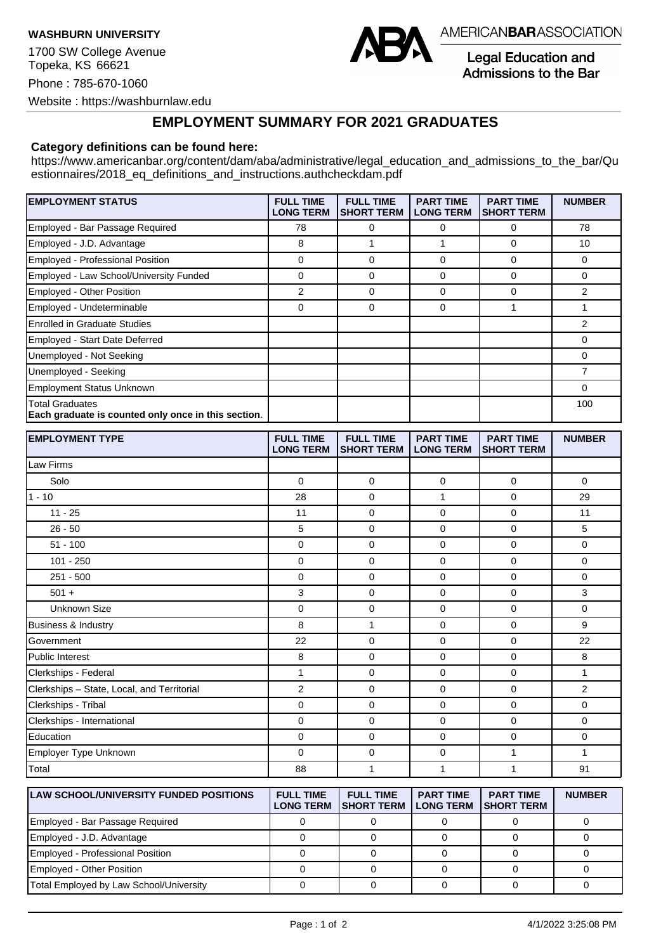**WASHBURN UNIVERSITY**

1700 SW College Avenue Topeka, KS 66621 Phone : 785-670-1060 Website : https://washburnlaw.edu



AMERICANBARASSOCIATION

**Legal Education and** Admissions to the Bar

## **EMPLOYMENT SUMMARY FOR 2021 GRADUATES**

## **Category definitions can be found here:**

https://www.americanbar.org/content/dam/aba/administrative/legal\_education\_and\_admissions\_to\_the\_bar/Qu estionnaires/2018 eq definitions and instructions.authcheckdam.pdf

| <b>EMPLOYMENT STATUS</b>                                                      | <b>FULL TIME</b><br><b>LONG TERM</b> | <b>FULL TIME</b><br><b>SHORT TERM</b> | <b>PART TIME</b><br><b>LONG TERM</b> | <b>PART TIME</b><br><b>SHORT TERM</b> | <b>NUMBER</b> |
|-------------------------------------------------------------------------------|--------------------------------------|---------------------------------------|--------------------------------------|---------------------------------------|---------------|
| Employed - Bar Passage Required                                               | 78                                   | 0                                     | $\Omega$                             | 0                                     | 78            |
| Employed - J.D. Advantage                                                     | 8                                    |                                       |                                      | 0                                     | 10            |
| Employed - Professional Position                                              | 0                                    | 0                                     | $\Omega$                             | 0                                     | 0             |
| Employed - Law School/University Funded                                       | 0                                    | $\Omega$                              | $\Omega$                             | 0                                     | $\Omega$      |
| <b>Employed - Other Position</b>                                              | 2                                    | $\Omega$                              | $\Omega$                             | 0                                     | 2             |
| Employed - Undeterminable                                                     | 0                                    | 0                                     | 0                                    |                                       |               |
| <b>Enrolled in Graduate Studies</b>                                           |                                      |                                       |                                      |                                       | 2             |
| Employed - Start Date Deferred                                                |                                      |                                       |                                      |                                       | 0             |
| Unemployed - Not Seeking                                                      |                                      |                                       |                                      |                                       | 0             |
| Unemployed - Seeking                                                          |                                      |                                       |                                      |                                       | 7             |
| <b>Employment Status Unknown</b>                                              |                                      |                                       |                                      |                                       | 0             |
| <b>Total Graduates</b><br>Each graduate is counted only once in this section. |                                      |                                       |                                      |                                       | 100           |

| <b>EMPLOYMENT TYPE</b>                     | <b>FULL TIME</b><br><b>LONG TERM</b> | <b>FULL TIME</b><br><b>SHORT TERM</b> | <b>PART TIME</b><br><b>LONG TERM</b> | <b>PART TIME</b><br><b>SHORT TERM</b> | <b>NUMBER</b>  |
|--------------------------------------------|--------------------------------------|---------------------------------------|--------------------------------------|---------------------------------------|----------------|
| Law Firms                                  |                                      |                                       |                                      |                                       |                |
| Solo                                       | $\mathbf 0$                          | $\mathbf 0$                           | 0                                    | $\mathbf 0$                           | $\mathbf 0$    |
| $1 - 10$                                   | 28                                   | $\mathbf 0$                           | $\mathbf{1}$                         | $\mathbf 0$                           | 29             |
| $11 - 25$                                  | 11                                   | $\mathbf 0$                           | $\mathbf 0$                          | $\mathbf 0$                           | 11             |
| $26 - 50$                                  | 5                                    | $\mathbf 0$                           | 0                                    | $\mathbf 0$                           | 5              |
| $51 - 100$                                 | $\mathbf 0$                          | $\mathbf 0$                           | $\mathbf 0$                          | $\mathbf 0$                           | $\mathbf 0$    |
| $101 - 250$                                | $\mathbf 0$                          | $\mathbf 0$                           | $\mathbf 0$                          | $\mathbf 0$                           | $\mathbf 0$    |
| $251 - 500$                                | 0                                    | $\mathbf 0$                           | 0                                    | $\mathbf 0$                           | $\mathbf 0$    |
| $501 +$                                    | 3                                    | $\mathbf 0$                           | $\mathbf 0$                          | $\mathbf 0$                           | 3              |
| <b>Unknown Size</b>                        | $\mathbf 0$                          | $\mathbf 0$                           | $\mathbf 0$                          | $\mathbf 0$                           | $\mathbf 0$    |
| <b>Business &amp; Industry</b>             | 8                                    | 1                                     | $\mathbf 0$                          | $\mathbf 0$                           | 9              |
| Government                                 | 22                                   | $\mathbf 0$                           | $\mathbf 0$                          | $\mathbf 0$                           | 22             |
| Public Interest                            | 8                                    | $\mathbf 0$                           | $\mathbf 0$                          | $\mathbf 0$                           | 8              |
| Clerkships - Federal                       | $\mathbf{1}$                         | $\mathbf 0$                           | $\mathbf 0$                          | $\mathbf 0$                           | $\mathbf{1}$   |
| Clerkships - State, Local, and Territorial | $\overline{2}$                       | $\mathbf 0$                           | $\mathbf 0$                          | $\mathbf 0$                           | $\overline{2}$ |
| Clerkships - Tribal                        | 0                                    | $\mathbf 0$                           | 0                                    | $\mathbf 0$                           | $\mathbf 0$    |
| Clerkships - International                 | $\mathbf 0$                          | $\mathbf 0$                           | $\mathbf 0$                          | $\mathbf 0$                           | $\mathbf 0$    |
| Education                                  | 0                                    | $\mathbf 0$                           | 0                                    | $\mathbf 0$                           | 0              |
| Employer Type Unknown                      | 0                                    | $\mathbf 0$                           | $\mathbf 0$                          | 1                                     | $\mathbf{1}$   |
| Total                                      | 88                                   | 1                                     | 1                                    | 1                                     | 91             |

| <b>LAW SCHOOL/UNIVERSITY FUNDED POSITIONS</b> | <b>FULL TIME</b><br><b>LONG TERM</b> | <b>FULL TIME</b><br><b>ISHORT TERM</b> | <b>PART TIME</b><br><b>LONG TERM</b> | <b>PART TIME</b><br><b>ISHORT TERM</b> | <b>NUMBER</b> |
|-----------------------------------------------|--------------------------------------|----------------------------------------|--------------------------------------|----------------------------------------|---------------|
| Employed - Bar Passage Required               |                                      |                                        |                                      |                                        |               |
| Employed - J.D. Advantage                     |                                      |                                        |                                      |                                        |               |
| Employed - Professional Position              |                                      |                                        |                                      |                                        |               |
| Employed - Other Position                     |                                      |                                        |                                      |                                        |               |
| Total Employed by Law School/University       |                                      |                                        |                                      |                                        |               |